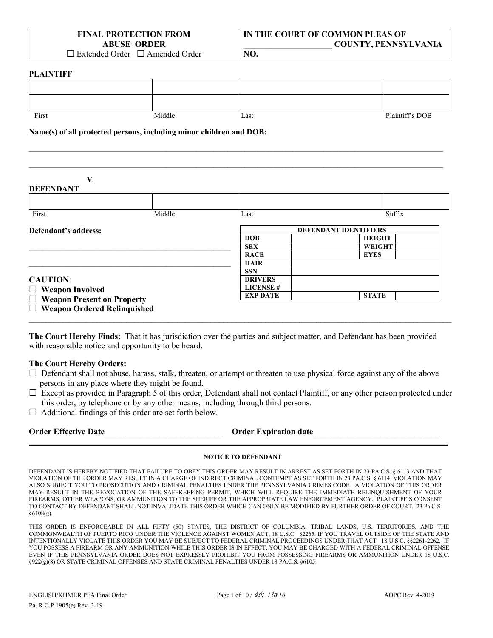| <b>FINAL PROTECTION FROM</b>                                      |
|-------------------------------------------------------------------|
| <b>ABUSE ORDER</b>                                                |
| $\Box$ Eq. ( ) $\Box$ 1. 1. Out 1 . a. $\Box$ 1. A 1. . 1. Out 1. |

**IN THE COURT OF COMMON PLEAS OF \_\_\_\_\_\_\_\_\_\_\_\_\_\_\_\_\_\_\_\_\_ COUNTY, PENNSYLVANIA**

 $\square$  Extended Order  $\square$  Amended Order

#### **PLAINTIFF**

| First | Middle | Last | Plaintiff's DOB |
|-------|--------|------|-----------------|

 $\_$  , and the state of the state of the state of the state of the state of the state of the state of the state of the state of the state of the state of the state of the state of the state of the state of the state of the  $\_$  , and the state of the state of the state of the state of the state of the state of the state of the state of the state of the state of the state of the state of the state of the state of the state of the state of the

**NO.**

**Name(s) of all protected persons, including minor children and DOB:**

**V**. **DEFENDANT**

| Middle                                                                                                               | Last                         | Suffix                             |  |  |
|----------------------------------------------------------------------------------------------------------------------|------------------------------|------------------------------------|--|--|
|                                                                                                                      | <b>DEFENDANT IDENTIFIERS</b> |                                    |  |  |
|                                                                                                                      | <b>DOB</b>                   | <b>HEIGHT</b>                      |  |  |
|                                                                                                                      | <b>SEX</b>                   | <b>WEIGHT</b>                      |  |  |
|                                                                                                                      | <b>RACE</b>                  | <b>EYES</b>                        |  |  |
|                                                                                                                      | <b>HAIR</b>                  |                                    |  |  |
|                                                                                                                      | <b>SSN</b>                   |                                    |  |  |
|                                                                                                                      | <b>DRIVERS</b>               |                                    |  |  |
| <b>CAUTION:</b><br>$\Box$ Weapon Involved<br>$\Box$ Weapon Present on Property<br>$\Box$ Weapon Ordered Relinquished |                              |                                    |  |  |
|                                                                                                                      |                              | <b>STATE</b>                       |  |  |
|                                                                                                                      |                              |                                    |  |  |
|                                                                                                                      |                              | <b>LICENSE#</b><br><b>EXP DATE</b> |  |  |

**The Court Hereby Finds:** That it has jurisdiction over the parties and subject matter, and Defendant has been provided with reasonable notice and opportunity to be heard.

#### **The Court Hereby Orders:**

- □ Defendant shall not abuse, harass, stalk, threaten, or attempt or threaten to use physical force against any of the above persons in any place where they might be found.
- $\Box$  Except as provided in Paragraph 5 of this order, Defendant shall not contact Plaintiff, or any other person protected under this order, by telephone or by any other means, including through third persons.

 $\Box$  Additional findings of this order are set forth below.

| <b>Order Effective Date</b> |  |
|-----------------------------|--|
|-----------------------------|--|

**Order Expiration date** 

#### **NOTICE TO DEFENDANT**

**\_\_\_\_\_\_\_\_\_\_\_\_\_\_\_\_\_\_\_\_\_\_\_\_\_\_\_\_\_\_\_\_\_\_\_\_\_\_\_\_\_\_\_\_\_\_\_\_\_\_\_\_\_\_\_\_\_\_\_\_\_\_\_\_\_\_\_\_\_\_\_\_\_\_\_\_\_\_\_\_\_\_\_\_\_\_\_\_\_\_\_\_\_\_\_\_\_\_\_\_\_\_\_\_**

DEFENDANT IS HEREBY NOTIFIED THAT FAILURE TO OBEY THIS ORDER MAY RESULT IN ARREST AS SET FORTH IN 23 PA.C.S. § 6113 AND THAT VIOLATION OF THE ORDER MAY RESULT IN A CHARGE OF INDIRECT CRIMINAL CONTEMPT AS SET FORTH IN 23 PA.C.S. § 6114. VIOLATION MAY ALSO SUBJECT YOU TO PROSECUTION AND CRIMINAL PENALTIES UNDER THE PENNSYLVANIA CRIMES CODE. A VIOLATION OF THIS ORDER MAY RESULT IN THE REVOCATION OF THE SAFEKEEPING PERMIT, WHICH WILL REQUIRE THE IMMEDIATE RELINQUISHMENT OF YOUR FIREARMS, OTHER WEAPONS, OR AMMUNITION TO THE SHERIFF OR THE APPROPRIATE LAW ENFORCEMENT AGENCY. PLAINTIFF'S CONSENT TO CONTACT BY DEFENDANT SHALL NOT INVALIDATE THIS ORDER WHICH CAN ONLY BE MODIFIED BY FURTHER ORDER OF COURT. 23 Pa C.S. §6108(g).

THIS ORDER IS ENFORCEABLE IN ALL FIFTY (50) STATES, THE DISTRICT OF COLUMBIA, TRIBAL LANDS, U.S. TERRITORIES, AND THE COMMONWEALTH OF PUERTO RICO UNDER THE VIOLENCE AGAINST WOMEN ACT, 18 U.S.C. §2265. IF YOU TRAVEL OUTSIDE OF THE STATE AND INTENTIONALLY VIOLATE THIS ORDER YOU MAY BE SUBJECT TO FEDERAL CRIMINAL PROCEEDINGS UNDER THAT ACT. 18 U.S.C. §§2261-2262. IF YOU POSSESS A FIREARM OR ANY AMMUNITION WHILE THIS ORDER IS IN EFFECT, YOU MAY BE CHARGED WITH A FEDERAL CRIMINAL OFFENSE EVEN IF THIS PENNSYLVANIA ORDER DOES NOT EXPRESSLY PROHIBIT YOU FROM POSSESSING FIREARMS OR AMMUNITION UNDER 18 U.S.C. §922(g)(8) OR STATE CRIMINAL OFFENSES AND STATE CRIMINAL PENALTIES UNDER 18 PA.C.S. §6105.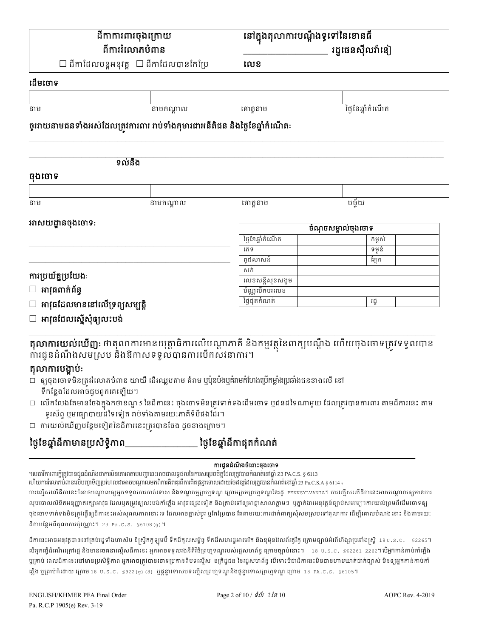| នៅក្នុងតុលាការបណ្តឹងទូទៅនៃខោនធី<br>ដីកាការពារចុងក្រោយ<br>ពីការរំលោភបំពាន                                                                                                |                                        | រដ្ឋផេនស៊ីលវ៉ានៀ   |        |                  |  |
|-------------------------------------------------------------------------------------------------------------------------------------------------------------------------|----------------------------------------|--------------------|--------|------------------|--|
|                                                                                                                                                                         | ដីកាដែលបន្តអនុវត្ត  □ ដីកាដែលបានកែប្រែ | លេខ                |        |                  |  |
| ដើមចោទ                                                                                                                                                                  |                                        |                    |        |                  |  |
|                                                                                                                                                                         |                                        |                    |        |                  |  |
| នាម                                                                                                                                                                     | នាមកណ្តាល                              | គោត្តនាម           |        | ថ្ងៃខែឆ្នាំកំណើត |  |
| ច្ចរោយនាមជនទាំងអស់ដែលត្រូវការពារ រាប់ទាំងកុមារជាអនីតិជន និងថ្ងៃខែឆ្នាំកំណើត:                                                                                            |                                        |                    |        |                  |  |
| ទល់នឹង                                                                                                                                                                  |                                        |                    |        |                  |  |
| ចុងចោទ                                                                                                                                                                  |                                        |                    |        |                  |  |
| នាម                                                                                                                                                                     | នាមកណ្តាល                              | គោត្តនាម           | បច្ច័យ |                  |  |
|                                                                                                                                                                         |                                        |                    |        |                  |  |
| អាសយដ្ឋានចុងចោទ:                                                                                                                                                        |                                        | ចំណុចសម្គាល់ចុងចោទ |        |                  |  |
|                                                                                                                                                                         |                                        | ថ្ងៃខែឆ្នាំកំណើត   |        | កម្ពស់           |  |
|                                                                                                                                                                         |                                        | រភទ                |        | ទម្ងន់           |  |
|                                                                                                                                                                         |                                        | ពូជសាសន៍           |        | ភ្នែក            |  |
| ការប្រយ័ត្នប្រយែង:                                                                                                                                                      |                                        | សក់                |        |                  |  |
|                                                                                                                                                                         |                                        | លេខសន្តិសុខសង្គម   |        |                  |  |
| $\square$ អាវុធពាក់ព័ន្ធ                                                                                                                                                |                                        | ប័ណ្ណបើកបរលេខ      |        |                  |  |
| $\Box$ អាវុធដែលមាននៅលើទ្រព្យសម្បត្តិ                                                                                                                                    |                                        | ថ្ងៃផុតកំណត់       |        | រដ្ឋ             |  |
| □ អាវុធដែលស្នើសុំឲ្យលះបង់                                                                                                                                               |                                        |                    |        |                  |  |
|                                                                                                                                                                         |                                        |                    |        |                  |  |
| <b>តុលាការយល់ឃើញ:</b> ឋាតុលាការមានយុត្តាធិការលើបណ្តាភាគី និងកម្មវត្ថុនៃពាក្យបណ្តឹង ហើយចុងចោទត្រូវទទួលបាន<br>ការជូនដំណឹងសមស្រប និងឱកាសទទួលបានការបើកសវនាការ។<br>soommini. |                                        |                    |        |                  |  |

តុលាការបង្គាបៈ

- $\Box$  ឲ្យចុងចោទមិនត្រូវរំលោភបំពាន យាយី ដើរឈ្លបតាម គំរាម ឬប៉ុនប៉ងឬគំរាមកំហែងប្រើកម្លាំងប្រឆាំងជនខាងលើ នៅ ទឹកន្លែងដែលអាចជួបពួកគេទ្បើយ។
- $\Box$  លើកលែងតែមានចែងក្នុងកថាខណ្ឌ s នៃដីកានេះ ចុងចោទមិនត្រវទាក់ទងដើមចោទ ឬជនដទៃណាមួយ ដែលត្រវបានការពារ តាមដីការនេះ តាម ទូរស័ព្ទ ឬមធ្យោបាយដទៃទៀត រាប់ទាំងតាមរយ:ភាគីទីបីផងដែរ។
- □ ការយល់ឃើញបន្ថែមទៀតនៃដីការនេះត្រូវបានចែង ដូចខាងក្រោម។

#### ថ្ងៃខែឆ្នាំដីកាមានប្រសិទ្ធិភាព ថ្ងៃខែឆ្នាំដីកាផុតកំណត់

### ការជូនដំណឹងចំពោះចុងចោទ

។មេធាវីការពារក្តីត្រូវបានជូនដំណឹងថាការមិនគោរពតាមបញ្ហានេះអាចជាលទ្ធផលនៃការសម្រេចចិត្តដែលត្រូវបានកំណត់នៅឆ្នាំ 23 PA.C.S. § 6113

ហើយការរំលោភបំពានលើបញ្ហាទិញប្រហែលជាអាចបណ្តាលមកពីការគិតគួរពីការគិតផ្តន្ទាទោសដោយចៃដន្យដែលត្រូវបានកំណត់នៅឆ្នាំ 23 Pa.C.S.A § 6114 ,

ការល្មើសលើដីកានេះក៍អាចបណ្តាលឲ្យអ្នកទទួលការកាត់ទោស និងទណ្ឌកម្មព្រហ្មទណ្ឌ ក្រោមក្រមព្រហ្មទណ្ឌនៃរដ្ឋ eennsyLvanIa។ ការល្មើសលើដីកានេះអាចបណ្តាលឲ្យមានការ លុបចោលលិខិតអនុញ្ញាតរក្សាអាវុធ ដែលឬតម្រវឲ្យលះបង់កាំភ្លើង អាវុធផ្សេងទៀត និងគ្រាប់ទៅឲ្យអាជ្ញាសាលាភ្លាមៗ ឬភ្នាក់ងារអនុវត្តន៍ច្បាប់សមរម្យៗការយល់ព្រមពីដើមចោទឲ្យ ចុងចោទទាក់ទងមិនត្រវធ្វើឲ្យដីកានេះអស់សុពលភាពនោះទេ ដែលអាចផ្លាស់ប្តូរ ឬកែប្រែបាន តែតាមរយៈការដាក់ពាក្យសុំសមស្របទៅតុលាការ ដើម្បីគោលបំណងនោះ និងតាមរយៈ ដីកាបន្ថែមពីតុលាការប៉ុណ្ណោះ។ 23 Pa.C.S. \$6108(g)។

ដីកានេះអាចអនុវត្តបាននៅគ្រប់រដ្ឋទាំងហាសិប ឌីស្រ្តីកក្ខឡមប៊ី ទឹកដីកុលសម្ព័ន្ធ ទឹកដីសហរដ្ឋអាមេរិក និងខ្ញុំម៉ូនដែលព័រភ្លឺក្រឡប់អំពើហិង្សាប្រឆាំងស្រ្តី 18ប.s.c. \$2265។ បើអ្នកធ្វើដំណើរក្រៅរដ្ឋ និងមានចេតនាល្មើសដីកានេះ អ្នកអាចទទួលរងនីតិវិធីព្រហ្មទណ្ឌរបស់រដ្ឋសហព័ន្ធ ក្រោមច្បាប់នោះ។ 18 ប.s.c. ss2261–2262។ បើអ្នកកាន់កាប់កាំភ្លើង ឬគ្រាប់ ពេលដីកានេះនៅមានប្រសិទ្ធិភាព អ្នកអាចត្រវបានចោទប្រកាន់ពីបទល្មើស ឧក្រិដ្ឋជន នៃរដ្ឋសហព័ន្ធ បើទោះបីជាដីកានេះមិនបានហាមឃាត់ជាក់ច្បាស់ មិនឲ្យអ្នកកាន់កាប់កាំ ភ្លើង ឬគ្រាប់ក៏ដោយ ក្រោម 18 ប.ន.c. §922(g) (8) ឬផ្តន្ទាទោសបទល្មើសព្រហ្មទណ្ឌនិងផ្តន្ទាទោសព្រហ្មទណ្ឌ ក្រោម 18 PA.c.s. §6105។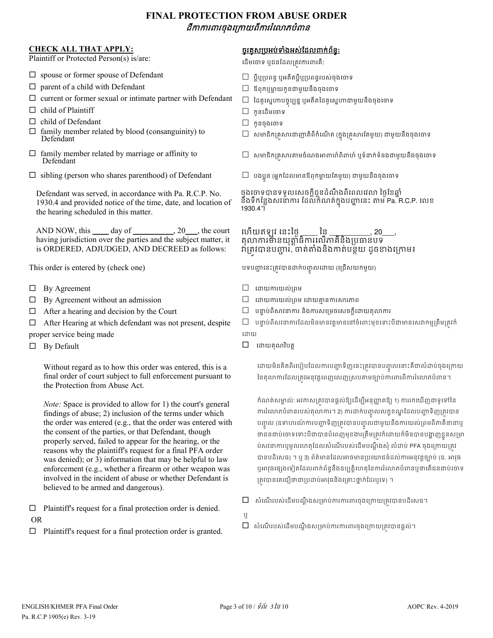## **FINAL PROTECTION FROM ABUSE ORDER** ដីកករពរចុងេ្រកយពីកររំេលភបំពន

#### **CHECK ALL THAT APPLY:**

Plaintiff or Protected Person(s) is/are:

- $\square$  spouse or former spouse of Defendant
- $\Box$  parent of a child with Defendant
- $\square$  current or former sexual or intimate partner with Defendant
- $\square$  child of Plaintiff
- $\Box$  child of Defendant
- $\Box$  family member related by blood (consanguinity) to Defendant
- $\Box$  family member related by marriage or affinity to Defendant
- $\Box$  sibling (person who shares parenthood) of Defendant

Defendant was served, in accordance with Pa. R.C.P. No. 1930.4 and provided notice of the time, date, and location of the hearing scheduled in this matter.

AND NOW, this  $\rule{1em}{0.15mm}$  day of  $\rule{1.5mm}{0.15mm}$ , 20  $\rule{1.5mm}$ , the court having jurisdiction over the parties and the subject matter, it is ORDERED, ADJUDGED, AND DECREED as follows:

This order is entered by (check one)

- $\Box$  By Agreement
- $\Box$  By Agreement without an admission
- $\Box$  After a hearing and decision by the Court

 $\Box$  After Hearing at which defendant was not present, despite proper service being made

 $\Box$  By Default

Without regard as to how this order was entered, this is a final order of court subject to full enforcement pursuant to the Protection from Abuse Act.

*Note:* Space is provided to allow for 1) the court's general findings of abuse; 2) inclusion of the terms under which the order was entered (e.g., that the order was entered with the consent of the parties, or that Defendant, though properly served, failed to appear for the hearing, or the reasons why the plaintiff's request for a final PFA order was denied); or 3) information that may be helpful to law enforcement (e.g., whether a firearm or other weapon was involved in the incident of abuse or whether Defendant is believed to be armed and dangerous).

 $\Box$  Plaintiff's request for a final protection order is denied. OR

 $\Box$  Plaintiff's request for a final protection order is granted.

### ចូរគូស្របអប់ទំងអស់ែដលពក់ព័ន�**:**

ដើមចោទ ឬជនដែលត្រូវការពារគឺ:

- $\Box$  ប្តីប្បបពន្ធ ឬអតីតប្តីឬប្រពន្ធរបស់ចុងចោទ
- $\square$  ឪពុកឬម្ដាយកូនជាមួយនឹងចុងចោទ
- $\Box$  ដៃគូស្នេហាបច្ចុប្បន្ន ឬអតីតដៃគូស្នេហាជាមួយនឹងចុងចោទ
- $\square$  កូនដើមចោទ
- $\square$  កូនចុងចោទ
- $\Box$  សមាជិកគ្រូសារជាញាតិពីកំណើត (ក្នុងគ្រូសារតែមួយ) ជាមួយនឹងចុងចោទ
- $\Box$  សមាជិកគ្រសារតាមចំណងអាពាហ៍ពិពាហ៍ ឬទំនាក់ទំនងជាមួយនឹងចុងចោទ
- $\Box$  បងប្អូន (អ្នកដែលមានឪពុកម្តាយតែមូយ) ជាមួយនឹងចុងចោទ

ចុងចោទបានទទួលសេចក្តីជូនដំណឹងពីពេលវេលា ថ្ងៃខែឆ្នាំ នឹងទឹកន្លែងសវនាការ ដែលកំណត់ក្នុងបញ្ហានេះ តាម Pa. R.C.P. លេខ 1930.4។

#### ហើយឥឡូវ នេះថ្ងៃ  $\iota$  នេះថ្ងៃ $\frac{1}{2}$  នៃ \_\_\_\_\_\_\_\_\_, 20\_\_\_, តុលាការមានយុត្តាធិការលេកាគិនឯប្រធានបទ វាត្រូវបានបញ្ហារ, ចាត់តាំងនិងកាត់បន្ថយ ដូចខាងក្រោម៖

បទបញ្ហានេះត្រូវបានដាក់បញ្ចូលដោយ (ជ្រេសយកមួយ)

- េដយករយល់្រពម
- $\Box$  ដោយការយល់ព្រម ដោយគ្មានការសារភាព
- $\Box$  បន្ទាប់ពីសាវនាការ និងការសម្រេចសេចក្តីដោយតុលាការ
- $\Box$  បន្ទាប់ពីសវនាការដែលមិនមានវត្តមាននៅចំពោះមុខទោះបីជាមានសេវាកម្មត្រឹមត្រវក៌ ដោយ
- $\square$  ដោយគុណវិបត្ត

ដោយមិនគិតពីរបៀបដែលការបញ្ហាទិញនេះត្រូវបានបញ្ចូលនោះគឺជាលំដាប់ចុងក្រោយ នៃតុលាការដែលត្រូវអនុវត្តពេញលេញស្របតាមច្បាប់ការពារពីការរំលោភបំពាន។

កំណត់សម្គាល់: អវកាសត្រវបានផ្តល់ឱ្យដើម្បីអនុញ្ញាតឱ្យ 1) ការរកឃើញជាទូទៅនៃ ការរលោភបំពានរបស់តុលាការ។ 2) ការដាក់បញ្ចូលលក្ខខណ្ឌដែលបញ្ហាទិញត្រូវបាន បញ្ចូល (ឧទាហរណការបញ្ហាទិញត្រូវបានបញ្ចូលជាមួយនឹងការយល់ព្រមពិភាគនានាឬ ចាជនជាប់ចោទទោះបីជាបានបំពេញមុខងារត្រមត្រូវក៏ដោយក៏មិនបានបង្ហាញខ្លួនសម្រា ប់សវនាការឬមូលហេតុដែលសំណើរបស់ដើមបណ្តឹងសុំ លំដាប់ PFA ចុងក្រោយត្រវ បានបដិសេធ) ។ ឬ 3) ព័ត៌មានដែលអាចមានប្រយោជន៍ដល់ការអនុវត្តច្បាប់ (ឧ. អាវុធ ឬអាវុធផ្សេងទៀតដែលពាក់ព័ន្ធនឹងឧប្បត្តិហេតុនៃការរំលោភបំពានឬថាតើជនជាប់ចោទ គ្រវបានគេជឿថាជាប្រដាប់អាវុធនិងគ្រោះថ្នាក់ដែរឬទេ) ។

- $\Box$  សំណើរបស់ដើមបណ្តឹងសម្រាប់ការការពារចុងក្រោយត្រូវបានបដិសេធ។
- ឬ
	- $\Box$  សំណើរបស់ដើមបណ្តឹងសម្រាប់ការការពារចុងក្រោយត្រវបានផ្តល់។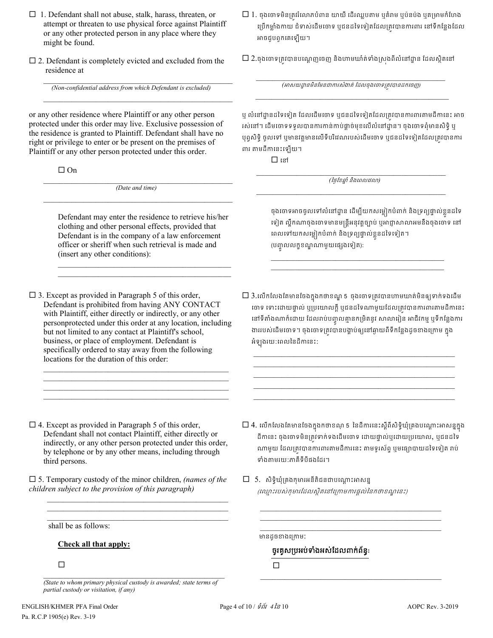- $\Box$  1. Defendant shall not abuse, stalk, harass, threaten, or attempt or threaten to use physical force against Plaintiff or any other protected person in any place where they might be found.
- $\square$  2. Defendant is completely evicted and excluded from the residence at

 $\_$  ,  $\_$  ,  $\_$  ,  $\_$  ,  $\_$  ,  $\_$  ,  $\_$  ,  $\_$  ,  $\_$  ,  $\_$  ,  $\_$  ,  $\_$  ,  $\_$  ,  $\_$  ,  $\_$ *(Non-confidential address from which Defendant is excluded)*

 $\_$  , and the set of the set of the set of the set of the set of the set of the set of the set of the set of the set of the set of the set of the set of the set of the set of the set of the set of the set of the set of th

or any other residence where Plaintiff or any other person protected under this order may live. Exclusive possession of the residence is granted to Plaintiff. Defendant shall have no right or privilege to enter or be present on the premises of Plaintiff or any other person protected under this order.

 $\Box$  On

\_\_\_\_\_\_\_\_\_\_\_\_\_\_\_\_\_\_\_\_\_\_\_\_\_\_\_\_\_\_\_\_\_\_\_\_\_\_\_\_\_\_\_\_\_\_\_ *(Date and time)*  $\mathcal{L}_\text{max}$  and  $\mathcal{L}_\text{max}$  and  $\mathcal{L}_\text{max}$  and  $\mathcal{L}_\text{max}$  and  $\mathcal{L}_\text{max}$ 

Defendant may enter the residence to retrieve his/her clothing and other personal effects, provided that Defendant is in the company of a law enforcement officer or sheriff when such retrieval is made and (insert any other conditions):

\_\_\_\_\_\_\_\_\_\_\_\_\_\_\_\_\_\_\_\_\_\_\_\_\_\_\_\_\_\_\_\_\_\_\_\_\_\_\_\_\_\_\_  $\_$  . The contribution of the contribution of  $\mathcal{L}_\mathcal{A}$ 

 $\Box$  3. Except as provided in Paragraph 5 of this order, Defendant is prohibited from having ANY CONTACT with Plaintiff, either directly or indirectly, or any other personprotected under this order at any location, including but not limited to any contact at Plaintiff's school, business, or place of employment. Defendant is specifically ordered to stay away from the following locations for the duration of this order:

 $\mathcal{L}_\mathcal{L}$  , and the set of the set of the set of the set of the set of the set of the set of the set of the set of the set of the set of the set of the set of the set of the set of the set of the set of the set of th  $\mathcal{L}_\mathcal{L}$  , and the set of the set of the set of the set of the set of the set of the set of the set of the set of the set of the set of the set of the set of the set of the set of the set of the set of the set of th  $\mathcal{L}_\mathcal{L}$  , and the set of the set of the set of the set of the set of the set of the set of the set of the set of the set of the set of the set of the set of the set of the set of the set of the set of the set of th  $\mathcal{L}_\mathcal{L}$  , and the set of the set of the set of the set of the set of the set of the set of the set of the set of the set of the set of the set of the set of the set of the set of the set of the set of the set of th

- $\square$  1. ចុងចោទមិនត្ររំលោភបំពាន យាយី ដើរឈ្លបតាម ឬគំរាម ឬប៉នប៉ង ឬគម្រាមកំហែង ប្រើកម្លាំងកាយ ជំទាស់ដើមចោទ ឬជនដទៃទៀតដែលត្រូវបានការពារ នៅទីកន្លែងដែល អាចជបពកគេទៅយ។
- $\square$  2.ចុងចោទត្រវបានបណ្តេញចេញ និងហាមឃាំត់ទាំងស្រងពីលំនៅដ្ឋាន ដែលស្ថិតនៅ

 $\_$  , and the set of the set of the set of the set of the set of the set of the set of the set of the set of the set of the set of the set of the set of the set of the set of the set of the set of the set of the set of th *(*អសយដ� នមិនែមនជាករសំងត់ ែដលចុងេចទ្រត�វបានដកេចញ*)*  $\_$  , and the set of the set of the set of the set of the set of the set of the set of the set of the set of the set of the set of the set of the set of the set of the set of the set of the set of the set of the set of th

ឬ លំនៅដ្នានដទៃទៀត ដែលដើមចោទ ឬជនដទៃទៀតដែលត្រវបានការពារតាមដីកានេះ អាច រស់នៅ។ ដើមចោទទទួលបានការកាន់កាប់ផ្តាច់មុខលើលំនៅដ្ឋាន។ ចុងចោទពុំមានសិទិ្ ឬ ឬព្វសិទិ្ ចូលទៅ ឬមានវត្តមានលើទីបរិវេណរបស់ដើមចោទ ឬជនដទៃទៀតដែលត្រូវបានការ ពរ តមដីកេនះេឡយ។

េន

\_\_\_\_\_\_\_\_\_\_\_\_\_\_\_\_\_\_\_\_\_\_\_\_\_\_\_\_\_\_\_\_\_\_\_\_\_\_\_\_\_\_\_\_\_\_\_ *(*ៃថ�ែខឆា� ំ និងេពលេវល*)*  \_\_\_\_\_\_\_\_\_\_\_\_\_\_\_\_\_\_\_\_\_\_\_\_\_\_\_\_\_\_\_\_\_\_\_\_\_\_\_\_\_\_\_\_\_\_\_

ចុងចោទអាចចូលទោលនោដ្ឋាន ដេម្បីយកសម្លៀកបំពាក់ និងទ្រព្យផ្ទាល់ខ្លួនដីទេ ទៀត ល្ហឹកណាចុងចោទមានមន្ត្រីអនុវត្តច្បាប់ ឬអាជ្ញាសាលាអមនឹងចុងចោទ នៅ ពេលទោយកសម្លៀកបំពាក់ និងទ្រព្យផ្ទាល់ខ្លួនដទេទៀត។ (បញ្ចូលលក្ខខណ្ឌណាមួយផ្សេងទៀត):

 $\Box$  3.លើកលែងតែមានចែងក្នុងកថាខណ្ឌ 5 ចុងចោទត្រូវបានហាមឃាត់មិនឲ្យទាក់ទងដើម ចោទ ទោះដោយផ្ទាល់ ឬប្រយោលក្ដី ឬជនដទៃណាមួយដែលត្រវបានការពារតាមដីកានេះ នោទតាងណាក់ដោយ ដែលរាបបញ្ចូលគ្មានកម្រតនូវ សាលារៀន អាជវកម្ម ឬទកន្លេងការ ងាររបស់ដេមចោទ។ ចុងចោទត្រូវបានបង្គាបឲ្យនោឆ្ងាយពទកន្លេងដូចខាងក្រោម ក្នុង អំឡុ ងរយៈេពលៃនដីកេនះ:

\_\_\_\_\_\_\_\_\_\_\_\_\_\_\_\_\_\_\_\_\_\_\_\_\_\_\_\_\_\_\_\_\_\_\_\_\_\_\_\_\_\_\_\_\_\_\_\_\_\_ \_\_\_\_\_\_\_\_\_\_\_\_\_\_\_\_\_\_\_\_\_\_\_\_\_\_\_\_\_\_\_\_\_\_\_\_\_\_\_\_\_\_\_\_\_\_\_\_\_\_ \_\_\_\_\_\_\_\_\_\_\_\_\_\_\_\_\_\_\_\_\_\_\_\_\_\_\_\_\_\_\_\_\_\_\_\_\_\_\_\_\_\_\_\_\_\_\_\_\_\_ \_\_\_\_\_\_\_\_\_\_\_\_\_\_\_\_\_\_\_\_\_\_\_\_\_\_\_\_\_\_\_\_\_\_\_\_\_\_\_\_\_\_\_\_\_\_\_\_\_\_ \_\_\_\_\_\_\_\_\_\_\_\_\_\_\_\_\_\_\_\_\_\_\_\_\_\_\_\_\_\_\_\_\_\_\_\_\_\_\_\_\_\_\_\_\_\_\_\_\_\_

 $\Box$  4. លើកលែងតែមានចែងក្នុងកឋាខណ្ 5 នៃដីការនេះស្តីពីសិទ្ធិឃុំគ្រងបណ្តោះអាសន្នក្នុង ដីកានេះ ចុងចោទមិនត្រូវទាក់ទងដើមចោទ ដោយផ្ទាល់ឬដោយប្រយោល, ឬជនដទៃ ណាមួយ ដែលត្រវបានការពារតាមដីការនេះ តាមទូរស័ព្ទ ឬមធ្យោបាយដទៃទៀត រាប់

 $\_$  ,  $\_$  ,  $\_$  ,  $\_$  ,  $\_$  ,  $\_$  ,  $\_$  ,  $\_$  ,  $\_$  ,  $\_$  ,  $\_$  ,  $\_$  ,  $\_$  ,  $\_$  ,  $\_$  ,  $\_$ 

 $\mathcal{L}_\mathcal{L}$  , and the set of the set of the set of the set of the set of the set of the set of the set of the set of the set of the set of the set of the set of the set of the set of the set of the set of the set of th

\_\_\_\_\_\_\_\_\_\_\_\_\_\_\_\_\_\_\_\_\_\_\_\_\_\_\_\_\_\_\_\_\_\_\_\_\_\_\_\_\_\_\_ \_\_\_\_\_\_\_\_\_\_\_\_\_\_\_\_\_\_\_\_\_\_\_\_\_\_\_\_\_\_\_\_\_\_\_\_\_\_\_\_\_\_\_

 $\square$  4. Except as provided in Paragraph 5 of this order, Defendant shall not contact Plaintiff, either directly or indirectly, or any other person protected under this order, by telephone or by any other means, including through third persons.

 5. Temporary custody of the minor children, *(names of the children subject to the provision of this paragraph)*

shall be as follows:

**Check all that apply:**

 $\Box$ 

\_\_\_\_\_\_\_\_\_\_\_\_\_\_\_\_\_\_\_\_\_\_\_\_\_\_\_\_\_\_\_\_\_\_\_\_\_\_\_\_\_\_\_\_\_ *(State to whom primary physical custody is awarded; state terms of partial custody or visitation, if any)*

 $\mathcal{L}_\mathcal{L} = \{ \mathcal{L}_\mathcal{L} = \{ \mathcal{L}_\mathcal{L} = \{ \mathcal{L}_\mathcal{L} = \{ \mathcal{L}_\mathcal{L} = \{ \mathcal{L}_\mathcal{L} = \{ \mathcal{L}_\mathcal{L} = \{ \mathcal{L}_\mathcal{L} = \{ \mathcal{L}_\mathcal{L} = \{ \mathcal{L}_\mathcal{L} = \{ \mathcal{L}_\mathcal{L} = \{ \mathcal{L}_\mathcal{L} = \{ \mathcal{L}_\mathcal{L} = \{ \mathcal{L}_\mathcal{L} = \{ \mathcal{L}_\mathcal{$  $\mathcal{L}_\text{max}$  and  $\mathcal{L}_\text{max}$  and  $\mathcal{L}_\text{max}$  and  $\mathcal{L}_\text{max}$  and  $\mathcal{L}_\text{max}$  $\mathcal{L}_\mathcal{L} = \{ \mathcal{L}_\mathcal{L} = \{ \mathcal{L}_\mathcal{L} = \{ \mathcal{L}_\mathcal{L} = \{ \mathcal{L}_\mathcal{L} = \{ \mathcal{L}_\mathcal{L} = \{ \mathcal{L}_\mathcal{L} = \{ \mathcal{L}_\mathcal{L} = \{ \mathcal{L}_\mathcal{L} = \{ \mathcal{L}_\mathcal{L} = \{ \mathcal{L}_\mathcal{L} = \{ \mathcal{L}_\mathcal{L} = \{ \mathcal{L}_\mathcal{L} = \{ \mathcal{L}_\mathcal{L} = \{ \mathcal{L}_\mathcal{$ (ឈ្មោះរបស់កុមារដែលស្ថិតនៅក្រោមការផ្តល់នៃកថាខណ្ឌនេះ)  $\_$  ,  $\_$  ,  $\_$  ,  $\_$  ,  $\_$  ,  $\_$  ,  $\_$  ,  $\_$  ,  $\_$  ,  $\_$  ,  $\_$  ,  $\_$  ,  $\_$  ,  $\_$  ,  $\_$  ,  $\_$ \_\_\_\_\_\_\_\_\_\_\_\_\_\_\_\_\_\_\_\_\_\_\_\_\_\_\_\_\_\_\_\_\_\_\_\_\_\_\_\_\_\_\_\_\_

ទំងតមរយៈភាគីទីបីផងែដរ។

 $\square$  5. សិទិ្ធឃុំគ្រងកុមារអនីតិជនជាបណ្តោះអាសន្ន

មានដូចខាងក្រោម:

### ចូរគូស្របអប់ទំងអស់ែដលពក់ព័ន�**:**

 $\Box$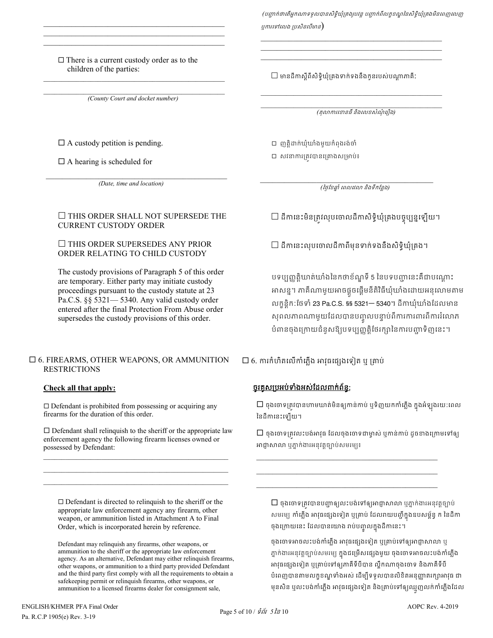(បញ្ជាក់ថាតើអ្នកណាទទួលបានសិទ្ធិឃុំគ្រងរូបវន្ត បញ្ជាក់ពីលក្ខខណ្ឌនៃសិទ្ធិឃុំគ្រងមិនពេញលេញ បុការទៅលេង ប្រសិនលើមាន $)$ 

 $\mathcal{L}_\text{max}$  and  $\mathcal{L}_\text{max}$  and  $\mathcal{L}_\text{max}$  and  $\mathcal{L}_\text{max}$  and  $\mathcal{L}_\text{max}$ \_\_\_\_\_\_\_\_\_\_\_\_\_\_\_\_\_\_\_\_\_\_\_\_\_\_\_\_\_\_\_\_\_\_\_\_\_\_\_\_\_\_\_\_\_ \_\_\_\_\_\_\_\_\_\_\_\_\_\_\_\_\_\_\_\_\_\_\_\_\_\_\_\_\_\_\_\_\_\_\_\_\_\_\_\_\_\_\_\_\_

#### $\Box$  There is a current custody order as to the children of the parties:

\_\_\_\_\_\_\_\_\_\_\_\_\_\_\_\_\_\_\_\_\_\_\_\_\_\_\_\_\_\_\_\_\_\_\_\_\_\_\_\_\_\_\_\_\_  $\mathcal{L}_\text{max}$  and  $\mathcal{L}_\text{max}$  and  $\mathcal{L}_\text{max}$  and  $\mathcal{L}_\text{max}$  and  $\mathcal{L}_\text{max}$  $\mathcal{L}_\text{max}$  and  $\mathcal{L}_\text{max}$  and  $\mathcal{L}_\text{max}$  and  $\mathcal{L}_\text{max}$  and  $\mathcal{L}_\text{max}$ 

*(County Court and docket number)*

\_\_\_\_\_\_\_\_\_\_\_\_\_\_\_\_\_\_\_\_\_\_\_\_\_\_\_\_\_\_\_\_\_\_\_\_\_\_\_\_\_\_\_\_\_\_\_\_\_\_

 $\Box$  A custody petition is pending.

 $\square$  A hearing is scheduled for

 $\mathcal{L}_\text{max}$  and  $\mathcal{L}_\text{max}$  and  $\mathcal{L}_\text{max}$  and  $\mathcal{L}_\text{max}$  and  $\mathcal{L}_\text{max}$ *(Date, time and location)*

### $\Box$  THIS ORDER SHALL NOT SUPERSEDE THE CURRENT CUSTODY ORDER

### $\Box$  THIS ORDER SUPERSEDES ANY PRIOR ORDER RELATING TO CHILD CUSTODY

The custody provisions of Paragraph 5 of this order are temporary. Either party may initiate custody proceedings pursuant to the custody statute at 23 Pa.C.S. §§ 5321— 5340. Any valid custody order entered after the final Protection From Abuse order supersedes the custody provisions of this order.

### 6. FIREARMS, OTHER WEAPONS, OR AMMUNITION RESTRICTIONS

# **Check all that apply:**

 $\Box$  Defendant is prohibited from possessing or acquiring any firearms for the duration of this order.

 $\square$  Defendant shall relinquish to the sheriff or the appropriate law enforcement agency the following firearm licenses owned or possessed by Defendant:

\_\_\_\_\_\_\_\_\_\_\_\_\_\_\_\_\_\_\_\_\_\_\_\_\_\_\_\_\_\_\_\_\_\_\_\_\_\_\_\_\_\_\_\_\_\_\_\_\_\_\_ \_\_\_\_\_\_\_\_\_\_\_\_\_\_\_\_\_\_\_\_\_\_\_\_\_\_\_\_\_\_\_\_\_\_\_\_\_\_\_\_\_\_\_\_\_\_\_\_\_\_\_

 $\Box$  Defendant is directed to relinquish to the sheriff or the appropriate law enforcement agency any firearm, other weapon, or ammunition listed in Attachment A to Final Order, which is incorporated herein by reference.

Defendant may relinquish any firearms, other weapons, or ammunition to the sheriff or the appropriate law enforcement agency. As an alternative, Defendant may either relinquish firearms, other weapons, or ammunition to a third party provided Defendant and the third party first comply with all the requirements to obtain a safekeeping permit or relinquish firearms, other weapons, or ammunition to a licensed firearms dealer for consignment sale,

 $\square$  មានដីកាស្តីពីសិទិ្ធឃុំគ្រងទាក់ទងនឹងកូនរបស់បណ្តាភាគី:

\_\_\_\_\_\_\_\_\_\_\_\_\_\_\_\_\_\_\_\_\_\_\_\_\_\_\_\_\_\_\_\_\_\_\_\_\_\_\_\_\_\_\_\_\_\_\_\_\_\_ *(*តុលករេខនធីនិងេលខសំណុំេរឿង*)* 

\_\_\_\_\_\_\_\_\_\_\_\_\_\_\_\_\_\_\_\_\_\_\_\_\_\_\_\_\_\_\_\_\_\_\_\_\_\_\_\_\_\_\_\_\_\_\_\_\_\_

 ញត�ិដក់ឃុំឃាំងមួយកំពុងរង់ចំ  $\square$  សវនាការត្រវបានគ្រោងសម្រាប់៖

 $\mathcal{L}_\mathcal{L} = \{ \mathcal{L}_\mathcal{L} \mid \mathcal{L}_\mathcal{L} \}$  *(*ៃថ�ែខឆា� ំ េពលេវល និងទីកែន�ង*)*

 $\Box$  ដីកានេះមិនត្រូវលុបចោលដីកាសិទ្ធិឃុំគ្រងបច្ចុប្បន្នឡើយ។

 $\Box$  ដីកានេះលុបចោលដីកាពីមុនទាក់ទងនឹងសិទិ្ទឃុំគ្រង។

បទប្បញ្ញត្តិឃាត់ឃាំងនៃកថាខ័ណ្ឌទី 5 នៃបទបញ្ហានេះគឺជាបណ្តោះ អាសន្ន។ ភាគណាមួយអាចផ្អួចផ្ដេមនតិវធីឃុំឃាំងដោយអនុលោមតាម លក្ខន្តិក:ថែទាំ 23 Pa.C.S. §§ 5321— 5340។ ដីកាឃុំឃាំងដែលមាន សុពលភាពណាមួយដែលបានបញ្ចូលបន្ទាប់ពការការពារពិការរំលោភ បំពានចុងក្រោយជំនួសឱ្យបទប្បញ្ញត្តិថែរក្សានៃការបញ្ហាទិញនេះ។

 $\square$  6. ការកំហិតលើកាំភ្លើង អាវុធផ្សេងទៀត ឬ គ្រាប់

# <u>ចូរគូសប្រអប់ទាំងអស់ដែលពាក់ព័ន្ធ:</u>

 $\Box$  ចុងចោទត្រូវបានហាមឃាត់មិនឲ្យកាន់កាប់ ឬទិញយកកាំភ្លើង ក្នុងអំឡុងរយ:ពេល ៃនដីកេនះេឡយ។

 $\square$  ចុងចោទត្រូវលះបង់អាវុធ ដែលចុងចោទជាម្ចាស់ ឬកាន់កាប់ ដូចខាងក្រោមទៅឲ្យ អាជ្ញាសាលា ឬភ្នាក់ងារអនុវត្តច្បាប់សមរម្យ៖

\_\_\_\_\_\_\_\_\_\_\_\_\_\_\_\_\_\_\_\_\_\_\_\_\_\_\_\_\_\_\_\_\_\_\_\_\_\_\_\_\_\_\_\_\_ \_\_\_\_\_\_\_\_\_\_\_\_\_\_\_\_\_\_\_\_\_\_\_\_\_\_\_\_\_\_\_\_\_\_\_\_\_\_\_\_\_\_\_\_\_ \_\_\_\_\_\_\_\_\_\_\_\_\_\_\_\_\_\_\_\_\_\_\_\_\_\_\_\_\_\_\_\_\_\_\_\_\_\_\_\_\_\_\_\_\_

 $\Box$  ចុងចោទត្រូវបានបញ្ហាឲ្យលះបង់ទៅឲ្យអាជ្ញាសាលា ឬភ្នាក់ងារអនុវត្តច្បាប់ សមរម្យ ការក្លង អាវុធផ្សេងទៀត ឬគ្រាប់ ដេលរាយបញ្ជក្នុងឧបសម្ពន្ធ ក នេដកា ចុងក្រោយនេះ ដេលបានយោង រាបបញ្ចូលក្នុងដកានេះ។

ចុងចោទអាចលះបង់កាំភ្លើង អាវុធផ្សេងទៀត ឬគ្រាប់ទៅឲ្យអាជ្ញាសាលា ឬ ភ្នាក់ងារអនុវត្តច្បាប់សមរម្យ ក្នុងជម្រេសផ្សេងមួយ ចុងចោទអាចលះបង់ការភ្លង អវុធេផ្សងេទៀត ឬ្រគាប់េទឲ្យភាគីទីបីបាន ល�ឹកណាចុងេចទ និងភាគីទីបី បំពេញបានតាមលក្ខខណ្ឌទាំងអស់ ដើម្បីទទួលបានលិខិតអនុញ្ញាតរក្សាអាវុធ ជា មុនសន ឬលះបង់ការក្លង់ អាវុធផ្សេងទៀត និងគ្រាប់ទោឲ្យឈ្មួញលក់ការភ្លង់ដែល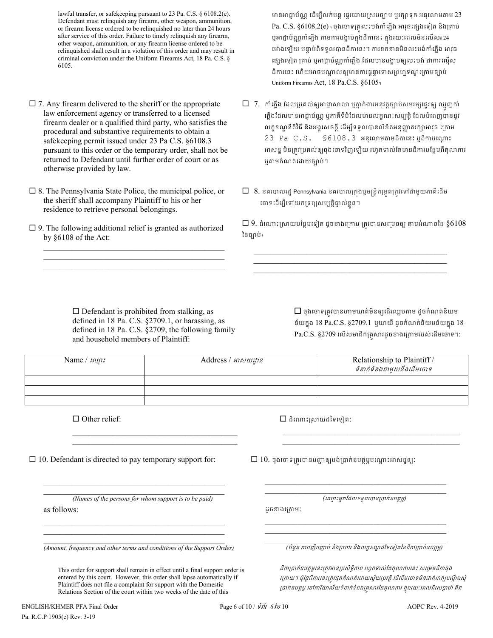lawful transfer, or safekeeping pursuant to 23 Pa. C.S. § 6108.2(e). Defendant must relinquish any firearm, other weapon, ammunition, or firearm license ordered to be relinquished no later than 24 hours after service of this order. Failure to timely relinquish any firearm, other weapon, ammunition, or any firearm license ordered to be relinquished shall result in a violation of this order and may result in criminal conviction under the Uniform Firearms Act, 18 Pa. C.S. § 6105.

- $\Box$  7. Any firearm delivered to the sheriff or the appropriate law enforcement agency or transferred to a licensed firearm dealer or a qualified third party, who satisfies the procedural and substantive requirements to obtain a safekeeping permit issued under 23 Pa C.S. §6108.3 pursuant to this order or the temporary order, shall not be returned to Defendant until further order of court or as otherwise provided by law.
- $\square$  8. The Pennsylvania State Police, the municipal police, or the sheriff shall accompany Plaintiff to his or her residence to retrieve personal belongings.
- $\square$  9. The following additional relief is granted as authorized by §6108 of the Act:

\_\_\_\_\_\_\_\_\_\_\_\_\_\_\_\_\_\_\_\_\_\_\_\_\_\_\_\_\_\_\_\_\_\_\_\_\_\_\_\_\_\_\_\_\_ \_\_\_\_\_\_\_\_\_\_\_\_\_\_\_\_\_\_\_\_\_\_\_\_\_\_\_\_\_\_\_\_\_\_\_\_\_\_\_\_\_\_\_\_\_ \_\_\_\_\_\_\_\_\_\_\_\_\_\_\_\_\_\_\_\_\_\_\_\_\_\_\_\_\_\_\_\_\_\_\_\_\_\_\_\_\_\_\_\_\_

មានអាជ្ញាប័ណ្ណ ដើម្បីលក់បន្ត ផ្ទេរដោយស្របច្បាប់ ឬរក្សាទុក អនុលោមតាម  $23$ Pa. C.S.  $\S6108.2$ (e)  $\cdot$  ចុងចោទគ្រ $\cdot$ លះបង់កាំភ្លើង អាវុធផ្សេងទៀត និងគ្រាប់ ឬអាជ្ញាប័ណ្ណកាំភ្លើង តាមការបង្គាប់ក្នុងដីកានេះ ក្នុងរយៈពេលមិនលើស៖24 ម៉ោងឡើយ បន្ទាប់ពីទទួលបានដីកានេះ។ ការខកខានមិនលះបង់កាំភ្លើង អាវុធ ផ្សេងទៀត គ្រាប់ ឬអាជ្ញាប័ណ្ណកាំភ្លើង ដែលបានបង្គាប់ឲ្យលះបង់ ជាការល្មើស ដីការនេះ ហើយអាចបណ្តាលឲ្យមានការផ្តន្ទាទោសព្រហ្មទណ្ឌក្រោមច្បាប់ Uniform Firearms Act, 18 Pa.C.S. §6105។

- $\Box$   $\,$  7.  $\,$  កាំភ្លើង ដែលប្រគល់ឲ្យអាជ្ញាសាលា ឬភ្នាក់ងារអនុវត្តច្បាប់សមរម្យផ្ទេរឲ្យ ឈ្មួញកាំ ភ្លើងដែលមានអាជ្ញាប័ណ្ណ ឬភាគីទីបីដែលមានលក្ខណ:សម្បត្តិ ដែលបំពេញបាននូវ លក្ខខណ្ឌនីតិវិធី និងអង្គសេចក្ដី ដើម្បីទទួលបានលិខិតអនុញ្ញាតរក្សាអាវុធ ក្រោម  $23$  Pa C.S.  $$6108.3$  អនុលោមតាមដីកានេះ ឬដីកាបណ្តោះ អាសន្ន មិនត្រវប្រគល់ឲ្យចុងចោទវិញឡើយ រហូតទាល់តែមានដីការបន្ថែមពីតុលាការ ឬតមកំណត់េដយច្បោប់។
- $\Box$  8. នគរបាលរដ្ឋ Pennsylvania នគរបាលក្រងប្មមន្ត្រីតម្រតត្រូវទៅជាមួយភាគីដើម ថោទដេម្បីទោយកទ្រព្យសម្បត្តិផ្ទាល់ខ្លួន។

 $\Box$  9. ដំណោះស្រាយបន្ថែមទៀត ដូចខាងក្រោម ត្រូវបានសម្រេចឲ្យ តាមអំណាចនៃ  $\S6108$ ៃនច្បោប់៖

 $\mathcal{L}_\text{max}$  and  $\mathcal{L}_\text{max}$  and  $\mathcal{L}_\text{max}$  and  $\mathcal{L}_\text{max}$  and  $\mathcal{L}_\text{max}$ \_\_\_\_\_\_\_\_\_\_\_\_\_\_\_\_\_\_\_\_\_\_\_\_\_\_\_\_\_\_\_\_\_\_\_\_\_\_\_\_\_\_\_\_\_\_\_\_  $\mathcal{L}_\text{max}$  and  $\mathcal{L}_\text{max}$  and  $\mathcal{L}_\text{max}$  and  $\mathcal{L}_\text{max}$  and  $\mathcal{L}_\text{max}$ 

 $\square$  Defendant is prohibited from stalking, as defined in 18 Pa. C.S. §2709.1, or harassing, as defined in 18 Pa. C.S. §2709, the following family and household members of Plaintiff:

 $\mathcal{L}_\text{max}$  and  $\mathcal{L}_\text{max}$  and  $\mathcal{L}_\text{max}$  and  $\mathcal{L}_\text{max}$  $\mathcal{L}_\mathcal{L}$  , and the set of the set of the set of the set of the set of the set of the set of the set of the set of the set of the set of the set of the set of the set of the set of the set of the set of the set of th  $\square$  ចុងចោទត្រូវបានហាមឃាត់មិនឲ្យដើរឈ្លបតាម ដូចកំណត់និយម ន័យក្នុង 18 Pa.C.S.  $\S 2709.1\,$  ឬយាយី ដូចកំណត់និយមន័យក្នុង  $18$ Pa.C.S. §2709 លើសមាជិកគ្រសារដូចខាងក្រោមរបស់ដើមចោទ។:

| Name $/$ $n\omega$ : | Address / អាសយដ្ឋាន | Relationship to Plaintiff /<br>ទំនាក់ទំនងជាមយនឹងដើមចោទ |
|----------------------|---------------------|--------------------------------------------------------|
|                      |                     |                                                        |
|                      |                     |                                                        |
|                      |                     |                                                        |

 $\Box$  Other relief:

 $\square$  ដំណោះស្រាយដទៃទៀត:

 $\Box$  10. Defendant is directed to pay temporary support for:

*(Names of the persons for whom support is to be paid)* as follows:

\_\_\_\_\_\_\_\_\_\_\_\_\_\_\_\_\_\_\_\_\_\_\_\_\_\_\_\_\_\_\_\_\_\_\_\_\_\_\_\_\_\_\_\_\_ \_\_\_\_\_\_\_\_\_\_\_\_\_\_\_\_\_\_\_\_\_\_\_\_\_\_\_\_\_\_\_\_\_\_\_\_\_\_\_\_\_\_\_\_\_

\_\_\_\_\_\_\_\_\_\_\_\_\_\_\_\_\_\_\_\_\_\_\_\_\_\_\_\_\_\_\_\_\_\_\_\_\_\_\_\_\_\_\_\_\_ \_\_\_\_\_\_\_\_\_\_\_\_\_\_\_\_\_\_\_\_\_\_\_\_\_\_\_\_\_\_\_\_\_\_\_\_\_\_\_\_\_\_\_\_\_

 $\mathcal{L}_\text{max}$  and  $\mathcal{L}_\text{max}$  and  $\mathcal{L}_\text{max}$  and  $\mathcal{L}_\text{max}$  and  $\mathcal{L}_\text{max}$ *(Amount, frequency and other terms and conditions of the Support Order)*

This order for support shall remain in effect until a final support order is entered by this court. However, this order shall lapse automatically if Plaintiff does not file a complaint for support with the Domestic Relations Section of the court within two weeks of the date of this

 $\square$  10. ចុងចោទត្រវបានបញ្ជាឲ្យបង់ប្រាក់ឧបត្ថម្ភបណ្តោះអាសន្នឲ្យ:

*(*េឈ� ះអ�កែដលទទួលបាន្របាក់ឧបត�ម�*)* 

 $\overline{a_1}$  ,  $\overline{a_2}$  ,  $\overline{a_3}$  ,  $\overline{a_4}$  ,  $\overline{a_5}$  ,  $\overline{a_6}$  ,  $\overline{a_7}$  ,  $\overline{a_8}$  ,  $\overline{a_9}$  ,  $\overline{a_9}$  ,  $\overline{a_9}$  ,  $\overline{a_9}$  ,  $\overline{a_9}$  ,  $\overline{a_9}$  ,  $\overline{a_9}$  ,  $\overline{a_9}$  ,  $\overline{a_9}$  , \_\_\_\_\_\_\_\_\_\_\_\_\_\_\_\_\_\_\_\_\_\_\_\_\_\_\_\_\_\_\_\_\_\_\_\_\_\_\_\_\_\_\_\_\_

\_\_\_\_\_\_\_\_\_\_\_\_\_\_\_\_\_\_\_\_\_\_\_\_\_\_\_\_\_\_\_\_\_\_\_\_\_\_\_\_\_\_\_\_\_ \_\_\_\_\_\_\_\_\_\_\_\_\_\_\_\_\_\_\_\_\_\_\_\_\_\_\_\_\_\_\_\_\_\_\_\_\_\_\_\_\_\_\_\_\_

 $\mathcal{L}_\mathcal{L}$  , and the set of the set of the set of the set of the set of the set of the set of the set of the set of the set of the set of the set of the set of the set of the set of the set of the set of the set of th  $\mathcal{L}_\text{max}$  and  $\mathcal{L}_\text{max}$  and  $\mathcal{L}_\text{max}$  and  $\mathcal{L}_\text{max}$  and  $\mathcal{L}_\text{max}$ 

ដូចខងេ្រកម:

\_\_\_\_\_\_\_\_\_\_\_\_\_\_\_\_\_\_\_\_\_\_\_\_\_\_\_\_\_\_\_\_\_\_\_\_\_\_\_\_\_\_\_\_\_ *(*ចំនួន ភាពញឹកញាប់ និង្របករ និងលក�ខណ�ដៃទេទៀតៃនដីក្របាក់ឧបត�ម�*)*

ដីកាប្រាក់ឧបត្ថម្ភនេះត្រមោនប្រសិទ្ធិភាព រហូតទាល់តែតុលាការនេះ សម្រេចដីកាចុង ក្រោយ។ ប៉ុន្តែដីការនេះត្រវផុតកំណត់ដោយស្វ័យប្រវត្តិ បើដើមចោទមិនដាក់ពាក្យបណ្តឹងសុំ ប្រាក់ឧបត្ថម្ភ នៅការិយាល័យទំនាក់ទំនងគ្រូសារនៃតុលាការ ក្នុងរយ:ពេលពីរសប្តាហ៍ គិត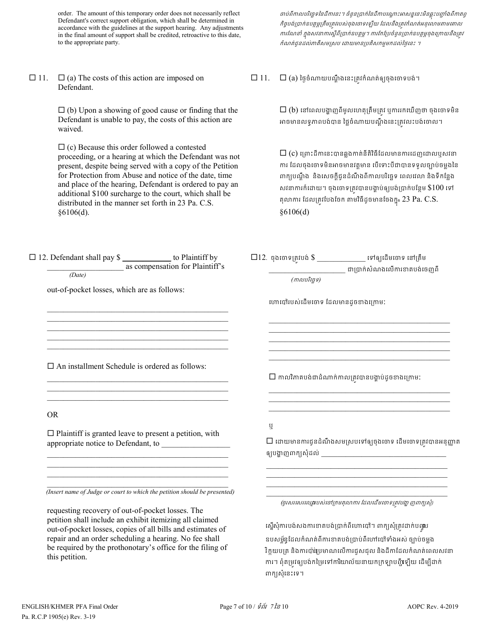order. The amount of this temporary order does not necessarily reflect Defendant's correct support obligation, which shall be determined in accordance with the guidelines at the support hearing. Any adjustments in the final amount of support shall be credited, retroactive to this date, to the appropriate party.

 $\Box$  11.  $\Box$  (a) The costs of this action are imposed on Defendant.

> $\Box$  (b) Upon a showing of good cause or finding that the Defendant is unable to pay, the costs of this action are waived.

> $\Box$  (c) Because this order followed a contested proceeding, or a hearing at which the Defendant was not present, despite being served with a copy of the Petition for Protection from Abuse and notice of the date, time and place of the hearing, Defendant is ordered to pay an additional \$100 surcharge to the court, which shall be distributed in the manner set forth in 23 Pa. C.S. §6106(d).

ថាប់ពីកាលបរិច្ឆេទនៃដីកានេះ។ ចំនួនប្រាក់នៃដីកាបណ្តោះអាសន្ននេះមិនឆ្លុះបញ្ចាំងពីកាតព្វ កិច្ចបង់ប្រាក់ឧបត្ថម្ភត្រឹមត្រវរបស់ចុងចោទទ្បើយ ដែលនឹងត្រវកំណត់អនុលោមតាមគោល ការណែនាំ ក្នុងសវនាការស្ពឺពីប្រាក់ឧបត្ថម្ភ។ ការកែប្រែចំនួនប្រាក់ឧបត្ថម្ភចុងក្រោយនឹងត្រូវ កំណត់ជូនដល់ភាគីសមស្រប ដោយមានប្រតិសកម្មមកដល់ថ្ងៃនេះ ។

 $\square$  11.  $\square$  (a) ថៃ្ងចំណាយបណ្តឹងនេះត្រវកំណត់ឲ្យចុងចោទបង់។

 $\square$  (b) នៅពេលបង្ហាញពីមូលហេតុត្រឹមត្រវ ឬការរកឃើញថា ចុងចោទមិន អាចមានលទ្**ភាពបង់បាន ថ្លៃចំណាយបណ្តឹងនេះត្រូវលះបង់**ចោល។

 $\Box$  (c) ព្រោះដីកានេះបានឆ្លងកាត់នីតិវិធីដែលមានការដេញដោលឬសវនា ការ ដែលចុងចោទមិនអាចមានវត្តមាន បើទោះបីជាបានទទួលច្បាប់ចម្លងនៃ ពាក្យបណ្តឹង និងសេចក្តីជូនដំណឹងពីកាលបរិច្ឆេទ ពេលវេលា និងទីកន្លែង សវនាការក៏ដោយ។ ចុងចោទត្រូវបានបង្គាប់ឲ្យបង់ប្រាក់បន្ថែម  $$100$  ទៅ តុលាការ ដែលត្រូវបែងចែក តាមវិធីដូចមានចែងក្នុ<sub>ំ</sub> 23 Pa. C.S. §6106(d)

| □ 12. Defendant shall pay \$ _____________ to Plaintiff by    | as compensation for Plaintiff's                                                                                                                                                                                               |                                    | $\Box$ 12. ចុងចោទត្រវបង់ $\$\_$ _______________ ទៅឲ្យដើមចោទ នៅត្រឹម                                                                                                                                                           |
|---------------------------------------------------------------|-------------------------------------------------------------------------------------------------------------------------------------------------------------------------------------------------------------------------------|------------------------------------|-------------------------------------------------------------------------------------------------------------------------------------------------------------------------------------------------------------------------------|
| (Date)                                                        |                                                                                                                                                                                                                               |                                    | ___________ ជាប្រាក់សំណងលើការខាតបង់ចេញពី                                                                                                                                                                                      |
|                                                               |                                                                                                                                                                                                                               | (កាលបរិច្ឆេទ)                      |                                                                                                                                                                                                                               |
| out-of-pocket losses, which are as follows:                   |                                                                                                                                                                                                                               |                                    |                                                                                                                                                                                                                               |
|                                                               |                                                                                                                                                                                                                               | ហោប៉ៅរបស់ដើមចោទ ដែលមានដូចខាងក្រោម: |                                                                                                                                                                                                                               |
|                                                               |                                                                                                                                                                                                                               |                                    |                                                                                                                                                                                                                               |
|                                                               |                                                                                                                                                                                                                               |                                    |                                                                                                                                                                                                                               |
|                                                               | the control of the control of the control of the control of the control of the control of the control of the control of the control of the control of the control of the control of the control of the control of the control |                                    | <u> 1989 - Johann John Stoff, deutscher Stoffen und der Stoffen und der Stoffen und der Stoffen und der Stoffen u</u>                                                                                                         |
| $\Box$ An installment Schedule is ordered as follows:         |                                                                                                                                                                                                                               |                                    |                                                                                                                                                                                                                               |
|                                                               |                                                                                                                                                                                                                               |                                    | $\square$ កាលវិភាគបង់ជាដំណាក់កាលត្រូវបានបង្គាប់ដូចខាងក្រោម:                                                                                                                                                                   |
|                                                               |                                                                                                                                                                                                                               |                                    | the control of the control of the control of the control of the control of the control of the control of the control of the control of the control of the control of the control of the control of the control of the control |
| <b>OR</b>                                                     |                                                                                                                                                                                                                               |                                    |                                                                                                                                                                                                                               |
| $\Box$ Plaintiff is granted leave to present a petition, with |                                                                                                                                                                                                                               | ឬ                                  |                                                                                                                                                                                                                               |
|                                                               |                                                                                                                                                                                                                               |                                    | $\Box$ ដោយមានការជូនដំណឹងសមស្របទៅឲ្យចុងចោទ ដើមចោទត្រវបានអនុញ្ញាត                                                                                                                                                               |
|                                                               |                                                                                                                                                                                                                               |                                    |                                                                                                                                                                                                                               |
|                                                               |                                                                                                                                                                                                                               |                                    | <u> 1989 - Johann Stoff, amerikansk politiker (d. 1989)</u><br><u> 1989 - Johann John Stoff, amerikan besteht eta ingilaria (h. 1989).</u>                                                                                    |
|                                                               | (Insert name of Judge or court to which the petition should be presented)                                                                                                                                                     |                                    | (ចូរសរសេរឈ្នោបស់ចៅក្រមតុលាការ ដែលដើមចោទត្រវបង្ហា ញពាក្យសុំ)                                                                                                                                                                   |
| requesting recovery of out-of-pocket losses. The              |                                                                                                                                                                                                                               |                                    |                                                                                                                                                                                                                               |
| petition shall include an exhibit itemizing all claimed       |                                                                                                                                                                                                                               |                                    |                                                                                                                                                                                                                               |
| out-of-pocket losses, copies of all bills and estimates of    |                                                                                                                                                                                                                               |                                    | ស្នើសុំការបង់សងការខាតបង់ប្រាក់ពីហោបៅ។ ពាក្យសុំត្រូវដាក់បណ្ដុប                                                                                                                                                                 |
| repair and an order scheduling a hearing. No fee shall        |                                                                                                                                                                                                                               |                                    | ឧបសម្ព័ន្ធដែលកំណត់ពីការខាតបង់ប្រាប់ពីហៅបៅទាំងអស់ ច្បាប់ចម្លង                                                                                                                                                                  |
| be required by the prothonotary's office for the filing of    |                                                                                                                                                                                                                               |                                    | វិតយយត្ត និងតាប្រើផ្ទុយមាលល្អើតយើងដែលនិងដីតាដែលគំលាក់យល់សេនា                                                                                                                                                                  |

វិក្កយបត្រ និងការប៉ាន់ប្រមាណលើការជួសជុល និងដីកាដែលកំណត់ពេលសវនា ការ។ ពុំតម្រវឲ្យបង់កម្រៃទៅការិយាល័យនាយកក្រឡាបញ្ជីឡើយ ដើម្បីដាក់ ពាក្យសុំនេះទេ។

this petition.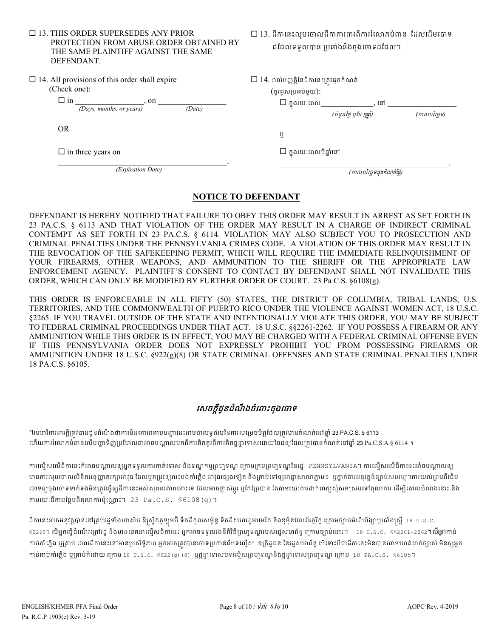| $\Box$ 13. THIS ORDER SUPERSEDES ANY PRIOR |
|--------------------------------------------|
| PROTECTION FROM ABUSE ORDER OBTAINED BY    |
| THE SAME PLAINTIFF AGAINST THE SAME        |
| <b>DEFENDANT</b>                           |

 $\Box$  14. All provisions of this order shall expire

| (Check one): |  |
|--------------|--|
|              |  |

| $\square$ in | on                       |        |
|--------------|--------------------------|--------|
|              | (Days, months, or years) | (Date) |

OR

 $\Box$  in three years on

 $\mathcal{L}_\text{max} = \mathcal{L}_\text{max} = \mathcal{L}_\text{max} = \mathcal{L}_\text{max} = \mathcal{L}_\text{max} = \mathcal{L}_\text{max} = \mathcal{L}_\text{max}$ *(Expiration Date)*

 $\square$  13. ដីកានេះលុបចោលដីកាការពារពីការរំលោភបំពាន ដែលដើមចោទ ដែដលទទួលបាន ្របឆាំងនឹងចុងេចទដែដល។

| $\square$ $14.$ រាល់បញ្ញត្តិនៃដីកានេះត្រវផុតកំណត់ |  |
|---------------------------------------------------|--|
| $(g$ គ្លេសប្រអប់មួយ):                             |  |

ក�ុ ងរយៈេពល\_\_\_\_\_\_\_\_\_\_\_\_\_, េន \_\_\_\_\_\_\_\_\_\_\_\_\_\_\_\_\_

*(*ចំនួនៃថ� ឬែខ ឬឆា� ំ*) (*កលបរិេច�ទ*)* 

ឬ

 $\Box$  ក្នុងរយ:ពេលបីឆ្នាំនៅ

 $\mathcal{L}_\mathcal{L} = \mathcal{L}_\mathcal{L} = \mathcal{L}_\mathcal{L} = \mathcal{L}_\mathcal{L} = \mathcal{L}_\mathcal{L} = \mathcal{L}_\mathcal{L} = \mathcal{L}_\mathcal{L} = \mathcal{L}_\mathcal{L} = \mathcal{L}_\mathcal{L} = \mathcal{L}_\mathcal{L} = \mathcal{L}_\mathcal{L} = \mathcal{L}_\mathcal{L} = \mathcal{L}_\mathcal{L} = \mathcal{L}_\mathcal{L} = \mathcal{L}_\mathcal{L} = \mathcal{L}_\mathcal{L} = \mathcal{L}_\mathcal{L}$ *(*កលបរិេច�ទផុតកំណត់ៃថ�*)*

### **NOTICE TO DEFENDANT**

DEFENDANT IS HEREBY NOTIFIED THAT FAILURE TO OBEY THIS ORDER MAY RESULT IN ARREST AS SET FORTH IN 23 PA.C.S. § 6113 AND THAT VIOLATION OF THE ORDER MAY RESULT IN A CHARGE OF INDIRECT CRIMINAL CONTEMPT AS SET FORTH IN 23 PA.C.S. § 6114. VIOLATION MAY ALSO SUBJECT YOU TO PROSECUTION AND CRIMINAL PENALTIES UNDER THE PENNSYLVANIA CRIMES CODE. A VIOLATION OF THIS ORDER MAY RESULT IN THE REVOCATION OF THE SAFEKEEPING PERMIT, WHICH WILL REQUIRE THE IMMEDIATE RELINQUISHMENT OF YOUR FIREARMS, OTHER WEAPONS, AND AMMUNITION TO THE SHERIFF OR THE APPROPRIATE LAW ENFORCEMENT AGENCY. PLAINTIFF'S CONSENT TO CONTACT BY DEFENDANT SHALL NOT INVALIDATE THIS ORDER, WHICH CAN ONLY BE MODIFIED BY FURTHER ORDER OF COURT. 23 Pa C.S. §6108(g).

THIS ORDER IS ENFORCEABLE IN ALL FIFTY (50) STATES, THE DISTRICT OF COLUMBIA, TRIBAL LANDS, U.S. TERRITORIES, AND THE COMMONWEALTH OF PUERTO RICO UNDER THE VIOLENCE AGAINST WOMEN ACT, 18 U.S.C. §2265. IF YOU TRAVEL OUTSIDE OF THE STATE AND INTENTIONALLY VIOLATE THIS ORDER, YOU MAY BE SUBJECT TO FEDERAL CRIMINAL PROCEEDINGS UNDER THAT ACT. 18 U.S.C. §§2261-2262. IF YOU POSSESS A FIREARM OR ANY AMMUNITION WHILE THIS ORDER IS IN EFFECT, YOU MAY BE CHARGED WITH A FEDERAL CRIMINAL OFFENSE EVEN IF THIS PENNSYLVANIA ORDER DOES NOT EXPRESSLY PROHIBIT YOU FROM POSSESSING FIREARMS OR AMMUNITION UNDER 18 U.S.C. §922(g)(8) OR STATE CRIMINAL OFFENSES AND STATE CRIMINAL PENALTIES UNDER 18 PA.C.S. §6105.

# <u>សេចក្តីជូនដំណឹងចំពោះចុងចោទ</u>

។មេធាវីការពារក្តីត្រូវបានជូនដំណឹងថាការមិនគោរពតាមបញ្ហានេះអាចជាលទ្ធផលនៃការសម្រេចចិត្តដែលត្រូវបានកំណត់នៅឆ្នាំ 23 PA.C.S. § 6113 េហើយការរំលោភបំពានលើបញ្ហាទិញប្រហែលជាអាចបណ្តាលមកពីការគិតគូរពីការគិតផ្តន្ទាទោសដោយចៃដន្យដែលត្រវបានកំណត់នៅឆ្នាំ 23 Pa.C.S.A § 6114 ។

ការល្មើសលើដីកានេះក៏អាចបណ្តាលឲ្យអ្នកទទួលការកាត់ទោស និងទណ្ឌកម្មព្រហ្មទណ្ឌ ក្រោមក្រមព្រហ្មទណ្ឌនៃរដ្ឋ PENNSYLVANIA។ ការល្មើសលើដីកានេះអាំចបណ្តាលឲ្យ មានការលុបចោលលិខិតអនុញ្ញាតរក្សាអាវុធ ដែលឬតម្រវឲ្យលះបង់កាំភ្លើង អាវុធផ្សេងទៀត និងគ្រាប់ទៅឲ្យអាជាមានក្បាប់ការអនុវត្តន៍ច្បាប់សមរម្យ។ការយល់ព្រមពីដើម ថោទឲ្យចុងចោទទាក់ទងមនត្រូវធ្វេឲ្យដកានេះអស់សុពលភាពនោះទេ ដែលអាចផ្លាស់ប្តូរ ឬកេប្រេបាន តេតាមរយៈការដាកាក្យសុសមស្របទោតុលាការ ដេម្បីគោលបំណងនោះ និង តាមរយ:ដីកាបន្ថែមពីតុលាការប៉ុណ្ណោះ។ 23 Pa.C.S. §6108(g)។

ដីកានេះអាចអនុវត្តបាននៅគ្របរដ្ឋទាំងហាសិប ឌីស្ទ្រីកកូឡុមប៊ី ទឹកដីកុលសម្ព័ន្ធ ទឹកដីសហរដ្ឋអាមេរិក និងខុមុនដីលព័រតូរ §2265។ បើអ្នកធ្វើដំណើរក្រៅរដ្ឋ និងមានចេតនាល្មើសដីកានេះ អ្នកអាចទទួលរងនីតិវិធីព្រហ្មទណ្ឌរបស់រដ្ឋសហព័ន្ធ ក្រោមច្បាប់នោះ។ 18 ប.ន. ${\rm c.~}$  §§2261–2262។ បើអ្នកកាន់ កាប់កាំភ្លើង ឬគ្រាប់ ពេលដីកានេះនៅមានប្រសិទ្ធិភាព អ្នកអាចត្រវបានចោទប្រកាន់ពីបទល្មើស ឧក្រិដ្ឋជន នៃរដ្ឋសហព័ន្ធ បើទោះបីជាដីកានេះមិនបានហាមឃាត់ជាក់ច្បាស់ មិនឲ្យអ្នក កាន់កាប់កាំភ្លើង ឬគ្រាប់ក៏ដោយ ក្រោម 18 ប.ន.c. §922(g) (8) ឬផ្តន្ទាទោសបទល្មើសព្រហ្មទណ្ឌនិងផ្តន្ទាទោសព្រហ្មទណ្ឌ ក្រោម 18 PA.C.S. §6105។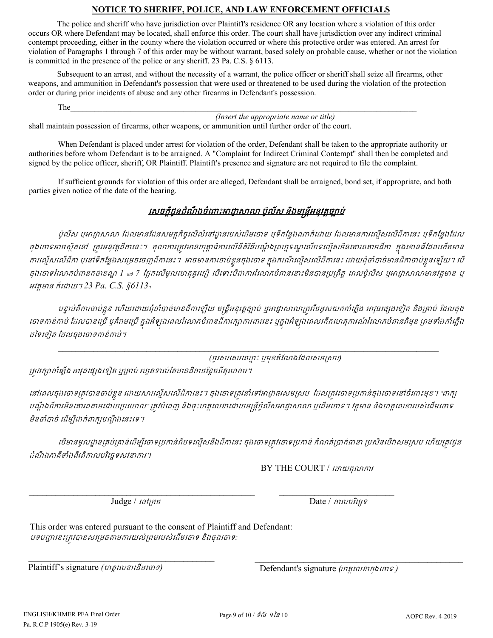### **NOTICE TO SHERIFF, POLICE, AND LAW ENFORCEMENT OFFICIALS**

The police and sheriff who have jurisdiction over Plaintiff's residence OR any location where a violation of this order occurs OR where Defendant may be located, shall enforce this order. The court shall have jurisdiction over any indirect criminal contempt proceeding, either in the county where the violation occurred or where this protective order was entered. An arrest for violation of Paragraphs 1 through 7 of this order may be without warrant, based solely on probable cause, whether or not the violation is committed in the presence of the police or any sheriff. 23 Pa. C.S. § 6113.

Subsequent to an arrest, and without the necessity of a warrant, the police officer or sheriff shall seize all firearms, other weapons, and ammunition in Defendant's possession that were used or threatened to be used during the violation of the protection order or during prior incidents of abuse and any other firearms in Defendant's possession.

The  $\blacksquare$ 

*(Insert the appropriate name or title)*

shall maintain possession of firearms, other weapons, or ammunition until further order of the court.

When Defendant is placed under arrest for violation of the order, Defendant shall be taken to the appropriate authority or authorities before whom Defendant is to be arraigned. A "Complaint for Indirect Criminal Contempt" shall then be completed and signed by the police officer, sheriff, OR Plaintiff. Plaintiff's presence and signature are not required to file the complaint.

If sufficient grounds for violation of this order are alleged, Defendant shall be arraigned, bond set, if appropriate, and both parties given notice of the date of the hearing.

### េសចក�ីជូនដំណឹ ងចំេពះអជា�សល ប៉ូលីស និងម�ន�ីអនុវត�ច្បោប់

ប៉ូលីស ឬអាជ្ញាសាលា ដែលមានដែនសមត្ថកិច្ចលើលំនៅដ្ឋានរបស់ដើមចោទ ឬទីកន្លែងណាក៏ដោយ ដែលមានការល្មើសលើដីកានេះ ឬទីកន្លែងដែល ចុងចោទអាចស្ថិតនៅ ត្រូវអនុវត្តដីកានេះ។ តុលាការត្រូវមានយុត្តាធិការលើនីតិវិធីបណ្តឹងព្រហ្មទណ្ឌលើបទល្មើសមិនគោរពតាមដីកា ក្នុងខោនធីដែលកើតមាន ការល្មើសលើដីកា ឬនៅទឹកន្លែងសម្រេចចេញដីកានេះ។ អាចមានការចាប់ខ្លួនចុងចោទ ក្នុងករណីល្មើសលើដីកានេះ ដោយពុំចាំបាច់មានដីកាចាប់ខ្លួនឡើយ។ បើ ចុងចោទរំលោភបំពានកថាខណ្ឌ 1 *แง 7 ផ្អែកលើមូល*ហេតុគួរជឿ បើទោះបីជាការរំលោភបំពាននោះមិនបានប្រព្រឹត្ត ពេលប៉ូលីស បុអាជ្ញាសាលាមានវត្តមាន បុ អវត�មាន ក៏េដយ។ *23 Pa. C.S. §6113*។

បន្ទាប់ពីការចាប់ខ្លួន ហើយដោយពុំចាំបាច់មានដីកាឡើយ មន្ត្រីអនុវត្តច្បាប់ ឬអាជ្ញាសាលាត្រូវរឹបអូសយកកាំភ្លើង អាវុធផ្សេងទៀត និងគ្រាប់ ដែលចុង រចាទកាន់កាប់ ដែលបានប្រើ ឬគំរាមប្រើ ក្នុងអំឡុងពេលរំលោភបំពានដីការក្សាការពារនេះ ឬក្នុងអំឡុងពេលកើតហេតុការណ៍រំលោភបំពានពីមុន ព្រមទាំងកាំភ្លើង ដៃទេទៀត ែដលចុងេចទកន់កប់។

*\_\_\_\_\_\_\_\_\_\_\_\_\_\_\_\_\_\_\_\_\_\_\_\_\_\_\_\_\_\_\_\_\_\_\_\_\_\_\_\_\_\_\_\_\_\_\_\_\_\_\_\_\_\_\_\_\_\_\_\_\_\_\_\_\_\_\_\_\_\_\_\_\_\_\_\_\_\_\_\_\_\_\_\_\_\_* 

*(*ចូរសរេសរេឈ� ះ ឬមុខតំែណងែដលសម�សប*)* 

គ្រាវរក្សាកាំភ្លើង អាវុធផ្សេងទៀត ឬគ្រាប់ រហូតទាល់តែមានដីកាបន្ថែមពីតុលាការ។

នៅពេលចុងចោទត្រូវបានចាប់ខ្លួន ដោយសារល្មើសលើដីកានេះ។ ចុងចោទត្រូវនាំទៅអាជ្ញាធរសមស្រប ដែលត្រូវចោទប្រកាន់ចុងចោទនៅចំពោះមុខ។ "ពាក្យ បណ្តឹងពីការមិនគោរពតាមដោយប្រយោល" ត្រវបំពេញ និងចុះហត្ថលេខាដោយមន្ត្រីប៉ូលីសអាជ្ញាសាលា ឬដើមចោទ។ វត្តមាន និងហត្ថលេខារបស់ដើមចោទ មិនចាំបាច់ ដើម្បីដាក់ពាក្យបណ្តឹងនេះទេ។

េបមានមូលដ្ឋានគ្រប់គ្រាន់ដើម្បីចោទប្រកាន់ពីបទល្មើសនឹងដីកានេះ ចុងចោទត្រវចោទប្រកាន់ កំណត់ប្រាក់ធានា ប្រសិនបើវាសមស្រប ហើយត្រវជ្ជន ដំណឹងភាគីទាំងពីរពីកាលបរិច្ឆេទសវនាការ។

 $\_$  , and the contribution of the contribution of  $\mathcal{L}_\mathcal{A}$  , and the contribution of  $\mathcal{L}_\mathcal{A}$ 

**BY THE COURT** / เ*ส*าเหลุលาศาร

 $\mathcal{L}_\mathcal{L} = \mathcal{L}_\mathcal{L} = \mathcal{L}_\mathcal{L} = \mathcal{L}_\mathcal{L} = \mathcal{L}_\mathcal{L} = \mathcal{L}_\mathcal{L} = \mathcal{L}_\mathcal{L} = \mathcal{L}_\mathcal{L} = \mathcal{L}_\mathcal{L} = \mathcal{L}_\mathcal{L} = \mathcal{L}_\mathcal{L} = \mathcal{L}_\mathcal{L} = \mathcal{L}_\mathcal{L} = \mathcal{L}_\mathcal{L} = \mathcal{L}_\mathcal{L} = \mathcal{L}_\mathcal{L} = \mathcal{L}_\mathcal{L}$ 

 $Judge /$   $I$ ចៅក្រម  $Date /$  កាលបរិច្ឆេទ

 $\overline{\phantom{a}}$  ,  $\overline{\phantom{a}}$  ,  $\overline{\phantom{a}}$  ,  $\overline{\phantom{a}}$  ,  $\overline{\phantom{a}}$  ,  $\overline{\phantom{a}}$  ,  $\overline{\phantom{a}}$  ,  $\overline{\phantom{a}}$  ,  $\overline{\phantom{a}}$  ,  $\overline{\phantom{a}}$  ,  $\overline{\phantom{a}}$  ,  $\overline{\phantom{a}}$  ,  $\overline{\phantom{a}}$  ,  $\overline{\phantom{a}}$  ,  $\overline{\phantom{a}}$  ,  $\overline{\phantom{a}}$ 

This order was entered pursuant to the consent of Plaintiff and Defendant: បទប��េនះ្រត�វបានសេ្រមចតមករយល់្រពមរបស់េដមេចទ និងចុងេចទ*:* 

Plaintiff's signature *(ហត្ថលេខាដើមចោទ)* 

Defendant's signature *(*ហត�េលខចុងេចទ *)*